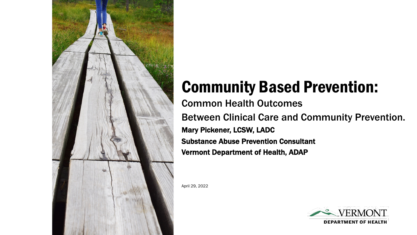

# Community Based Prevention:

Common Health Outcomes Between Clinical Care and Community Prevention. Mary Pickener, LCSW, LADC Substance Abuse Prevention Consultant Vermont Department of Health, ADAP

April 29, 2022

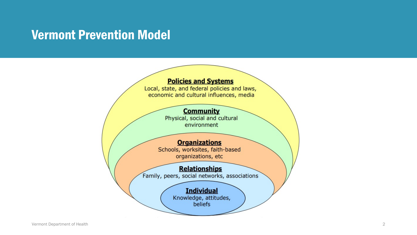### Vermont Prevention Model

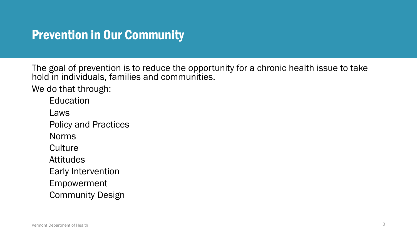### Prevention in Our Community

The goal of prevention is to reduce the opportunity for a chronic health issue to take hold in individuals, families and communities.

We do that through:

**Education** 

Laws

Policy and Practices

Norms

**Culture** 

**Attitudes** 

Early Intervention

Empowerment

Community Design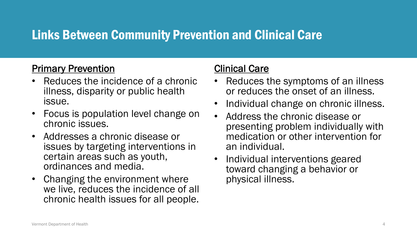## Links Between Community Prevention and Clinical Care

#### Primary Prevention

- Reduces the incidence of a chronic illness, disparity or public health issue.
- Focus is population level change on chronic issues.
- Addresses a chronic disease or issues by targeting interventions in certain areas such as youth, ordinances and media.
- Changing the environment where we live, reduces the incidence of all chronic health issues for all people.

#### Clinical Care

- Reduces the symptoms of an illness or reduces the onset of an illness.
- Individual change on chronic illness.
- Address the chronic disease or presenting problem individually with medication or other intervention for an individual.
- Individual interventions geared toward changing a behavior or physical illness.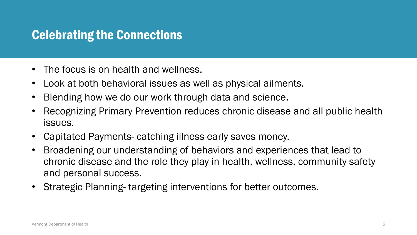### Celebrating the Connections

- The focus is on health and wellness.
- Look at both behavioral issues as well as physical ailments.
- Blending how we do our work through data and science.
- Recognizing Primary Prevention reduces chronic disease and all public health issues.
- Capitated Payments- catching illness early saves money.
- Broadening our understanding of behaviors and experiences that lead to chronic disease and the role they play in health, wellness, community safety and personal success.
- Strategic Planning- targeting interventions for better outcomes.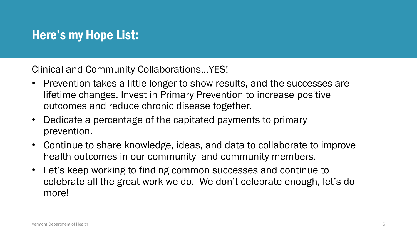## Here's my Hope List:

Clinical and Community Collaborations…YES!

- Prevention takes a little longer to show results, and the successes are lifetime changes. Invest in Primary Prevention to increase positive outcomes and reduce chronic disease together.
- Dedicate a percentage of the capitated payments to primary prevention.
- Continue to share knowledge, ideas, and data to collaborate to improve health outcomes in our community and community members.
- Let's keep working to finding common successes and continue to celebrate all the great work we do. We don't celebrate enough, let's do more!